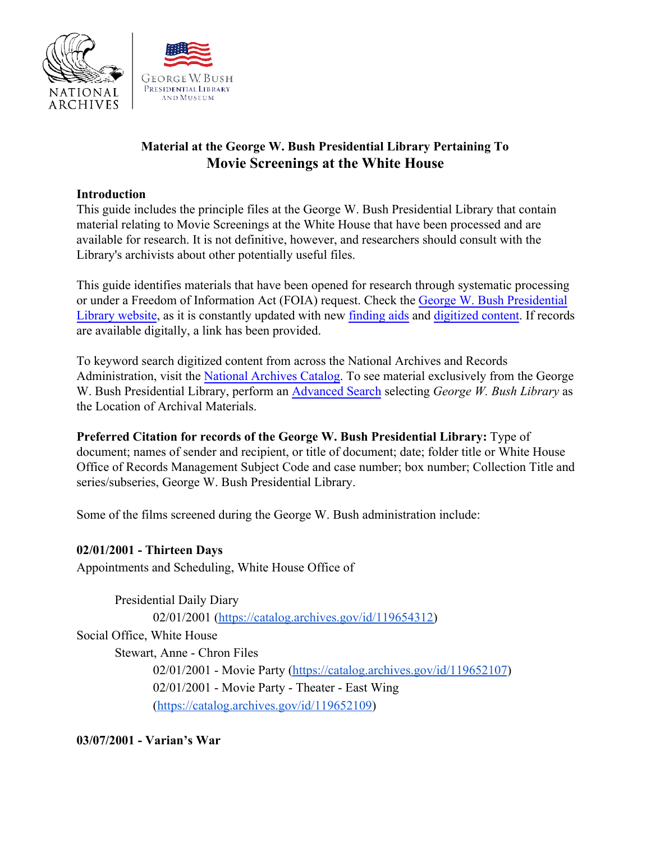



# **Material at the George W. Bush Presidential Library Pertaining To Movie Screenings at the White House**

### **Introduction**

This guide includes the principle files at the George W. Bush Presidential Library that contain material relating to Movie Screenings at the White House that have been processed and are available for research. It is not definitive, however, and researchers should consult with the Library's archivists about other potentially useful files.

This guide identifies materials that have been opened for research through systematic processing or under a Freedom of Information Act (FOIA) request. Check the [George W. Bush Presidential](https://www.georgewbushlibrary.gov/) [Library website,](https://www.georgewbushlibrary.gov/) as it is constantly updated with new [finding aids](https://www.georgewbushlibrary.gov/research/finding-aids) and [digitized content.](https://www.georgewbushlibrary.gov/research/records-search) If records are available digitally, a link has been provided.

To keyword search digitized content from across the National Archives and Records Administration, visit the [National Archives Catalog.](https://catalog.archives.gov/) To see material exclusively from the George W. Bush Presidential Library, perform an [Advanced Search](https://catalog.archives.gov/advancedsearch) selecting *George W. Bush Library* as the Location of Archival Materials.

**Preferred Citation for records of the George W. Bush Presidential Library:** Type of document; names of sender and recipient, or title of document; date; folder title or White House Office of Records Management Subject Code and case number; box number; Collection Title and series/subseries, George W. Bush Presidential Library.

Some of the films screened during the George W. Bush administration include:

# **02/01/2001 - Thirteen Days**

Appointments and Scheduling, White House Office of

Presidential Daily Diary 02/01/2001 ([https://catalog.archives.gov/id/119654312\)](https://catalog.archives.gov/id/119654312) Social Office, White House Stewart, Anne - Chron Files 02/01/2001 - Movie Party [\(https://catalog.archives.gov/id/119652107](https://catalog.archives.gov/id/119652107)) 02/01/2001 - Movie Party - Theater - East Wing ([https://catalog.archives.gov/id/119652109\)](https://catalog.archives.gov/id/119652109)

**03/07/2001 - Varian's War**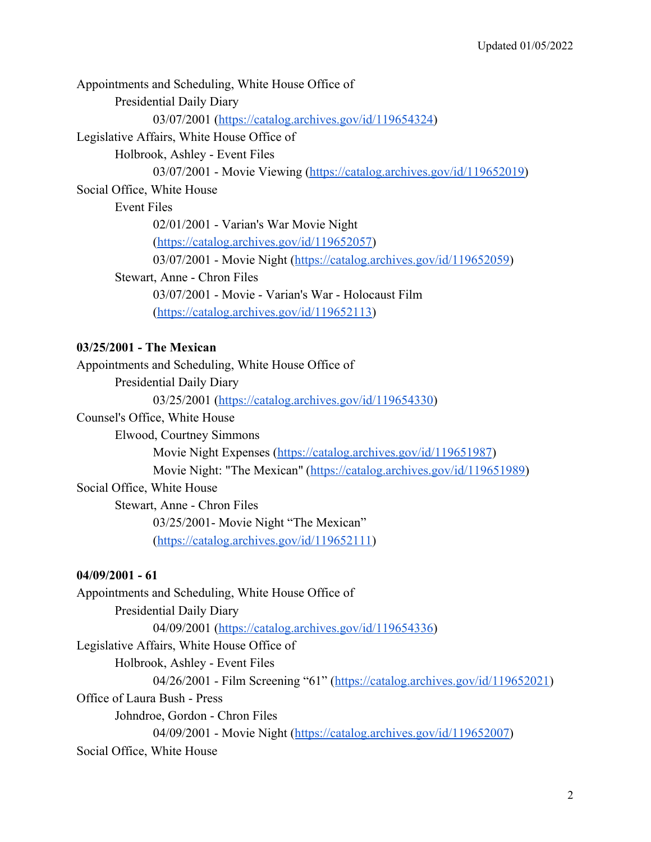Appointments and Scheduling, White House Office of Presidential Daily Diary 03/07/2001 ([https://catalog.archives.gov/id/119654324\)](https://catalog.archives.gov/id/119654324) Legislative Affairs, White House Office of Holbrook, Ashley - Event Files 03/07/2001 - Movie Viewing [\(https://catalog.archives.gov/id/119652019\)](https://catalog.archives.gov/id/119652019) Social Office, White House Event Files 02/01/2001 - Varian's War Movie Night ([https://catalog.archives.gov/id/119652057\)](https://catalog.archives.gov/id/119652057) 03/07/2001 - Movie Night (<https://catalog.archives.gov/id/119652059>) Stewart, Anne - Chron Files 03/07/2001 - Movie - Varian's War - Holocaust Film ([https://catalog.archives.gov/id/119652113\)](https://catalog.archives.gov/id/119652113)

## **03/25/2001 - The Mexican**

Appointments and Scheduling, White House Office of

Presidential Daily Diary

03/25/2001 ([https://catalog.archives.gov/id/119654330\)](https://catalog.archives.gov/id/119654330)

Counsel's Office, White House

Elwood, Courtney Simmons

Movie Night Expenses ([https://catalog.archives.gov/id/119651987\)](https://catalog.archives.gov/id/119651987)

Movie Night: "The Mexican" ([https://catalog.archives.gov/id/119651989\)](https://catalog.archives.gov/id/119651989)

#### Social Office, White House

Stewart, Anne - Chron Files 03/25/2001- Movie Night "The Mexican" ([https://catalog.archives.gov/id/119652111\)](https://catalog.archives.gov/id/119652111)

#### **04/09/2001 - 61**

Appointments and Scheduling, White House Office of Presidential Daily Diary 04/09/2001 ([https://catalog.archives.gov/id/119654336\)](https://catalog.archives.gov/id/119654336) Legislative Affairs, White House Office of Holbrook, Ashley - Event Files 04/26/2001 - Film Screening "61" ([https://catalog.archives.gov/id/119652021\)](https://catalog.archives.gov/id/119652021) Office of Laura Bush - Press Johndroe, Gordon - Chron Files 04/09/2001 - Movie Night (<https://catalog.archives.gov/id/119652007>) Social Office, White House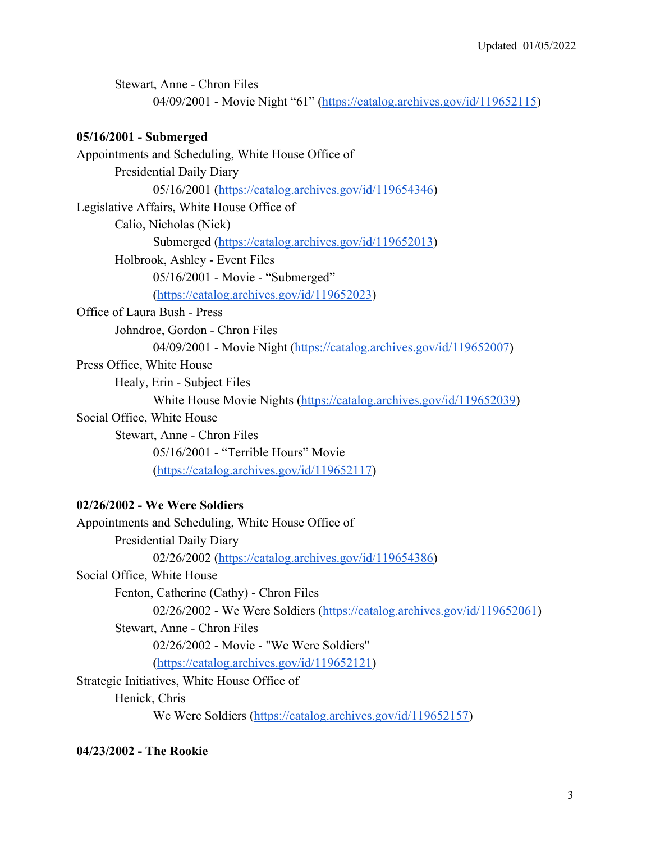| Stewart, Anne - Chron Files<br>04/09/2001 - Movie Night "61" (https://catalog.archives.gov/id/119652115) |
|----------------------------------------------------------------------------------------------------------|
| 05/16/2001 - Submerged                                                                                   |
| Appointments and Scheduling, White House Office of                                                       |
| Presidential Daily Diary                                                                                 |
| 05/16/2001 (https://catalog.archives.gov/id/119654346)                                                   |
| Legislative Affairs, White House Office of                                                               |
| Calio, Nicholas (Nick)                                                                                   |
| Submerged (https://catalog.archives.gov/id/119652013)                                                    |
| Holbrook, Ashley - Event Files                                                                           |
| 05/16/2001 - Movie - "Submerged"                                                                         |
| (https://catalog.archives.gov/id/119652023)                                                              |
| Office of Laura Bush - Press                                                                             |
| Johndroe, Gordon - Chron Files                                                                           |
| 04/09/2001 - Movie Night (https://catalog.archives.gov/id/119652007)                                     |
| Press Office, White House                                                                                |
| Healy, Erin - Subject Files                                                                              |
| White House Movie Nights (https://catalog.archives.gov/id/119652039)                                     |
| Social Office, White House                                                                               |
| Stewart, Anne - Chron Files                                                                              |
| 05/16/2001 - "Terrible Hours" Movie                                                                      |
| (https://catalog.archives.gov/id/119652117)                                                              |
| 02/26/2002 - We Were Soldiers                                                                            |

# Appointments and Scheduling, White House Office of Presidential Daily Diary 02/26/2002 ([https://catalog.archives.gov/id/119654386\)](https://catalog.archives.gov/id/119654386) Social Office, White House Fenton, Catherine (Cathy) - Chron Files 02/26/2002 - We Were Soldiers ([https://catalog.archives.gov/id/119652061\)](https://catalog.archives.gov/id/119652061) Stewart, Anne - Chron Files 02/26/2002 - Movie - "We Were Soldiers" ([https://catalog.archives.gov/id/119652121\)](https://catalog.archives.gov/id/119652121) Strategic Initiatives, White House Office of Henick, Chris We Were Soldiers ([https://catalog.archives.gov/id/119652157\)](https://catalog.archives.gov/id/119652157)

**04/23/2002 - The Rookie**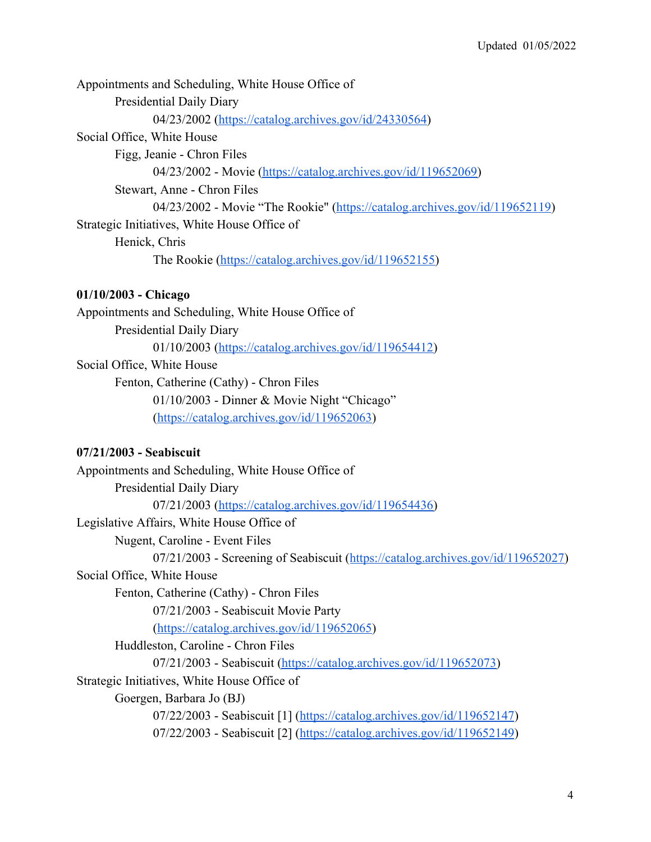| Appointments and Scheduling, White House Office of                          |
|-----------------------------------------------------------------------------|
| <b>Presidential Daily Diary</b>                                             |
| 04/23/2002 (https://catalog.archives.gov/id/24330564)                       |
| Social Office, White House                                                  |
| Figg, Jeanie - Chron Files                                                  |
| 04/23/2002 - Movie (https://catalog.archives.gov/id/119652069)              |
| Stewart, Anne - Chron Files                                                 |
| 04/23/2002 - Movie "The Rookie" (https://catalog.archives.gov/id/119652119) |
| Strategic Initiatives, White House Office of                                |
| Henick, Chris                                                               |
| The Rookie (https://catalog.archives.gov/id/119652155)                      |
|                                                                             |

# **01/10/2003 - Chicago**

Appointments and Scheduling, White House Office of Presidential Daily Diary 01/10/2003 ([https://catalog.archives.gov/id/119654412\)](https://catalog.archives.gov/id/119654412) Social Office, White House Fenton, Catherine (Cathy) - Chron Files 01/10/2003 - Dinner & Movie Night "Chicago"

([https://catalog.archives.gov/id/119652063\)](https://catalog.archives.gov/id/119652063)

# **07/21/2003 - Seabiscuit**

| Appointments and Scheduling, White House Office of                               |
|----------------------------------------------------------------------------------|
| <b>Presidential Daily Diary</b>                                                  |
| 07/21/2003 (https://catalog.archives.gov/id/119654436)                           |
| Legislative Affairs, White House Office of                                       |
| Nugent, Caroline - Event Files                                                   |
| 07/21/2003 - Screening of Seabiscuit (https://catalog.archives.gov/id/119652027) |
| Social Office, White House                                                       |
| Fenton, Catherine (Cathy) - Chron Files                                          |
| 07/21/2003 - Seabiscuit Movie Party                                              |
| (https://catalog.archives.gov/id/119652065)                                      |
| Huddleston, Caroline - Chron Files                                               |
| 07/21/2003 - Seabiscuit (https://catalog.archives.gov/id/119652073)              |
| Strategic Initiatives, White House Office of                                     |
| Goergen, Barbara Jo (BJ)                                                         |
| $07/22/2003$ - Seabiscuit [1] (https://catalog.archives.gov/id/119652147)        |
| $07/22/2003$ - Seabiscuit [2] (https://catalog.archives.gov/id/119652149)        |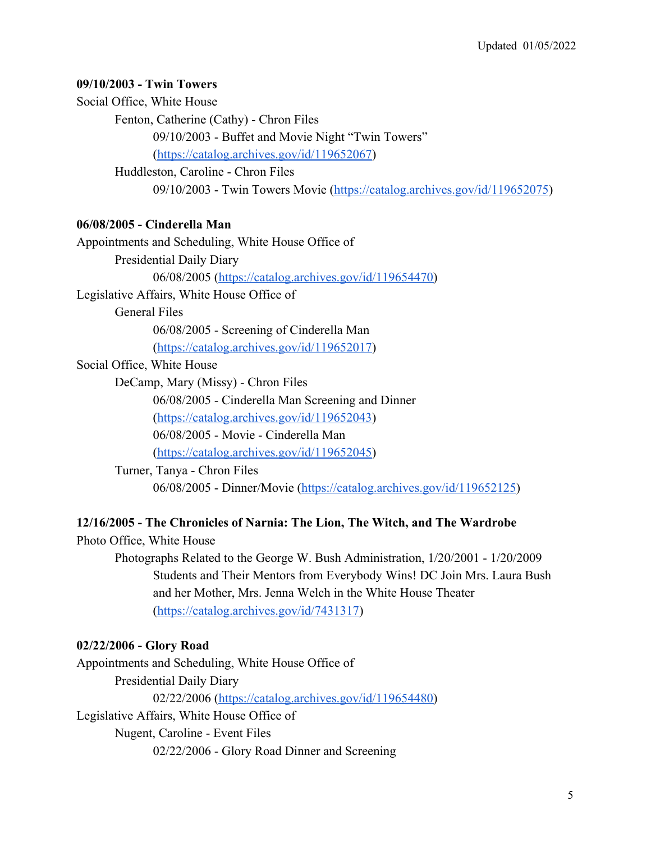#### **09/10/2003 - Twin Towers**

Social Office, White House

Fenton, Catherine (Cathy) - Chron Files

09/10/2003 - Buffet and Movie Night "Twin Towers"

([https://catalog.archives.gov/id/119652067\)](https://catalog.archives.gov/id/119652067)

Huddleston, Caroline - Chron Files

09/10/2003 - Twin Towers Movie [\(https://catalog.archives.gov/id/119652075](https://catalog.archives.gov/id/119652075))

#### **06/08/2005 - Cinderella Man**

Appointments and Scheduling, White House Office of Presidential Daily Diary 06/08/2005 ([https://catalog.archives.gov/id/119654470\)](https://catalog.archives.gov/id/119654470) Legislative Affairs, White House Office of General Files 06/08/2005 - Screening of Cinderella Man ([https://catalog.archives.gov/id/119652017\)](https://catalog.archives.gov/id/119652017) Social Office, White House DeCamp, Mary (Missy) - Chron Files 06/08/2005 - Cinderella Man Screening and Dinner ([https://catalog.archives.gov/id/119652043\)](https://catalog.archives.gov/id/119652043) 06/08/2005 - Movie - Cinderella Man ([https://catalog.archives.gov/id/119652045\)](https://catalog.archives.gov/id/119652045)

Turner, Tanya - Chron Files 06/08/2005 - Dinner/Movie (<https://catalog.archives.gov/id/119652125>)

#### **12/16/2005 - The Chronicles of Narnia: The Lion, The Witch, and The Wardrobe**

Photo Office, White House

Photographs Related to the George W. Bush Administration, 1/20/2001 - 1/20/2009 Students and Their Mentors from Everybody Wins! DC Join Mrs. Laura Bush and her Mother, Mrs. Jenna Welch in the White House Theater ([https://catalog.archives.gov/id/7431317\)](https://catalog.archives.gov/id/7431317)

#### **02/22/2006 - Glory Road**

Appointments and Scheduling, White House Office of Presidential Daily Diary 02/22/2006 ([https://catalog.archives.gov/id/119654480\)](https://catalog.archives.gov/id/119654480) Legislative Affairs, White House Office of Nugent, Caroline - Event Files

02/22/2006 - Glory Road Dinner and Screening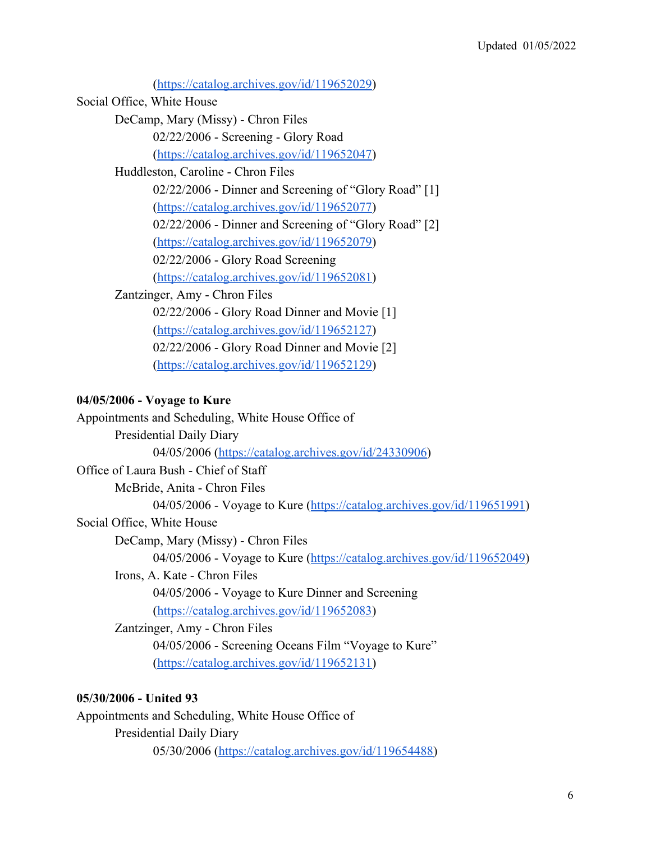([https://catalog.archives.gov/id/119652029\)](https://catalog.archives.gov/id/119652029) Social Office, White House DeCamp, Mary (Missy) - Chron Files 02/22/2006 - Screening - Glory Road ([https://catalog.archives.gov/id/119652047\)](https://catalog.archives.gov/id/119652047) Huddleston, Caroline - Chron Files 02/22/2006 - Dinner and Screening of "Glory Road" [1] ([https://catalog.archives.gov/id/119652077\)](https://catalog.archives.gov/id/119652077) 02/22/2006 - Dinner and Screening of "Glory Road" [2] ([https://catalog.archives.gov/id/119652079\)](https://catalog.archives.gov/id/119652079) 02/22/2006 - Glory Road Screening ([https://catalog.archives.gov/id/119652081\)](https://catalog.archives.gov/id/119652081) Zantzinger, Amy - Chron Files 02/22/2006 - Glory Road Dinner and Movie [1] ([https://catalog.archives.gov/id/119652127\)](https://catalog.archives.gov/id/119652127) 02/22/2006 - Glory Road Dinner and Movie [2] ([https://catalog.archives.gov/id/119652129\)](https://catalog.archives.gov/id/119652129)

# **04/05/2006 - Voyage to Kure**

| Appointments and Scheduling, White House Office of                      |
|-------------------------------------------------------------------------|
| <b>Presidential Daily Diary</b>                                         |
| 04/05/2006 (https://catalog.archives.gov/id/24330906)                   |
| Office of Laura Bush - Chief of Staff                                   |
| McBride, Anita - Chron Files                                            |
| 04/05/2006 - Voyage to Kure (https://catalog.archives.gov/id/119651991) |
| Social Office, White House                                              |
| DeCamp, Mary (Missy) - Chron Files                                      |
| 04/05/2006 - Voyage to Kure (https://catalog.archives.gov/id/119652049) |
| Irons, A. Kate - Chron Files                                            |
| 04/05/2006 - Voyage to Kure Dinner and Screening                        |
| (https://catalog.archives.gov/id/119652083)                             |
| Zantzinger, Amy - Chron Files                                           |
| 04/05/2006 - Screening Oceans Film "Voyage to Kure"                     |
| (https://catalog.archives.gov/id/119652131)                             |
|                                                                         |
| 05/30/2006 - United 93                                                  |

Appointments and Scheduling, White House Office of Presidential Daily Diary 05/30/2006 ([https://catalog.archives.gov/id/119654488\)](https://catalog.archives.gov/id/119654488)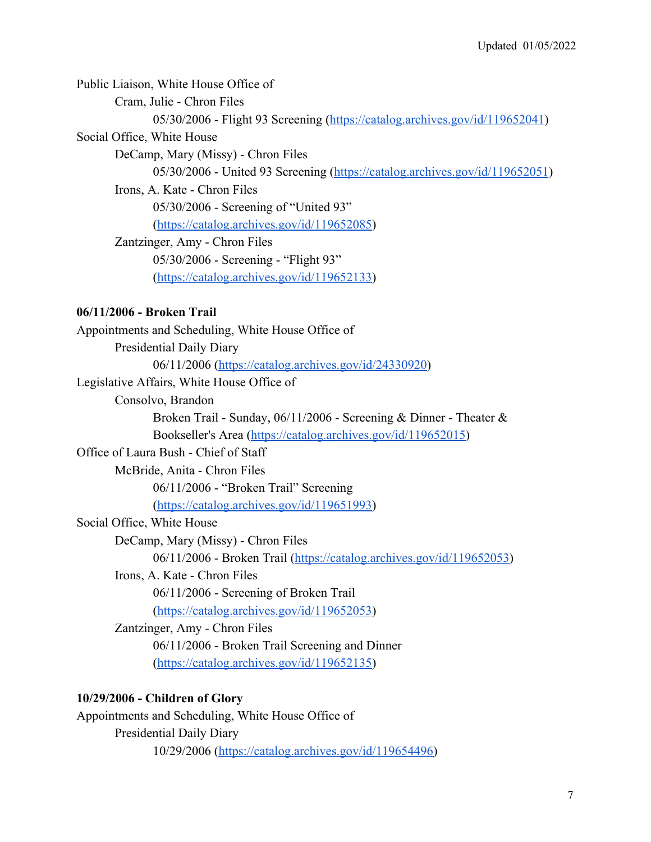Public Liaison, White House Office of Cram, Julie - Chron Files 05/30/2006 - Flight 93 Screening [\(https://catalog.archives.gov/id/119652041](https://catalog.archives.gov/id/119652041)) Social Office, White House DeCamp, Mary (Missy) - Chron Files 05/30/2006 - United 93 Screening [\(https://catalog.archives.gov/id/119652051](https://catalog.archives.gov/id/119652051)) Irons, A. Kate - Chron Files 05/30/2006 - Screening of "United 93" ([https://catalog.archives.gov/id/119652085\)](https://catalog.archives.gov/id/119652085) Zantzinger, Amy - Chron Files 05/30/2006 - Screening - "Flight 93" ([https://catalog.archives.gov/id/119652133\)](https://catalog.archives.gov/id/119652133) **06/11/2006 - Broken Trail** Appointments and Scheduling, White House Office of Presidential Daily Diary 06/11/2006 ([https://catalog.archives.gov/id/24330920\)](https://catalog.archives.gov/id/24330920) Legislative Affairs, White House Office of Consolvo, Brandon Broken Trail - Sunday, 06/11/2006 - Screening & Dinner - Theater & Bookseller's Area [\(https://catalog.archives.gov/id/119652015](https://catalog.archives.gov/id/119652015)) Office of Laura Bush - Chief of Staff McBride, Anita - Chron Files 06/11/2006 - "Broken Trail" Screening ([https://catalog.archives.gov/id/119651993\)](https://catalog.archives.gov/id/119651993) Social Office, White House DeCamp, Mary (Missy) - Chron Files 06/11/2006 - Broken Trail (<https://catalog.archives.gov/id/119652053>) Irons, A. Kate - Chron Files 06/11/2006 - Screening of Broken Trail ([https://catalog.archives.gov/id/119652053\)](https://catalog.archives.gov/id/119652053) Zantzinger, Amy - Chron Files 06/11/2006 - Broken Trail Screening and Dinner ([https://catalog.archives.gov/id/119652135\)](https://catalog.archives.gov/id/119652135) **10/29/2006 - Children of Glory**

Appointments and Scheduling, White House Office of Presidential Daily Diary 10/29/2006 ([https://catalog.archives.gov/id/119654496\)](https://catalog.archives.gov/id/119654496)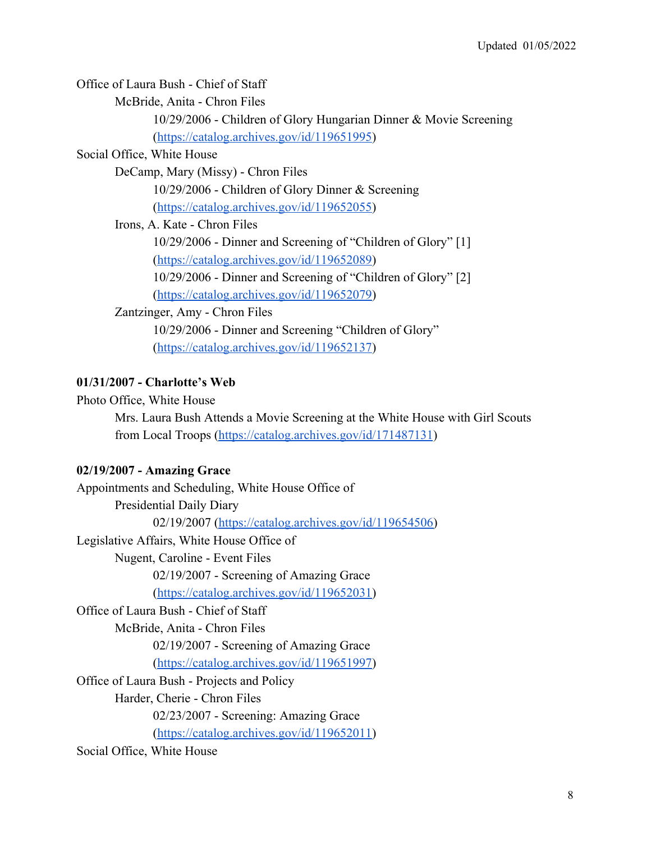Office of Laura Bush - Chief of Staff

McBride, Anita - Chron Files

10/29/2006 - Children of Glory Hungarian Dinner & Movie Screening ([https://catalog.archives.gov/id/119651995\)](https://catalog.archives.gov/id/119651995)

#### Social Office, White House

DeCamp, Mary (Missy) - Chron Files

10/29/2006 - Children of Glory Dinner & Screening

([https://catalog.archives.gov/id/119652055\)](https://catalog.archives.gov/id/119652055)

Irons, A. Kate - Chron Files

10/29/2006 - Dinner and Screening of "Children of Glory" [1] ([https://catalog.archives.gov/id/119652089\)](https://catalog.archives.gov/id/119652089)

10/29/2006 - Dinner and Screening of "Children of Glory" [2]

([https://catalog.archives.gov/id/119652079\)](https://catalog.archives.gov/id/119652079)

Zantzinger, Amy - Chron Files

10/29/2006 - Dinner and Screening "Children of Glory" ([https://catalog.archives.gov/id/119652137\)](https://catalog.archives.gov/id/119652137)

#### **01/31/2007 - Charlotte's Web**

Photo Office, White House

Mrs. Laura Bush Attends a Movie Screening at the White House with Girl Scouts from Local Troops (<https://catalog.archives.gov/id/171487131>)

#### **02/19/2007 - Amazing Grace**

Appointments and Scheduling, White House Office of Presidential Daily Diary 02/19/2007 ([https://catalog.archives.gov/id/119654506\)](https://catalog.archives.gov/id/119654506) Legislative Affairs, White House Office of Nugent, Caroline - Event Files 02/19/2007 - Screening of Amazing Grace ([https://catalog.archives.gov/id/119652031\)](https://catalog.archives.gov/id/119652031) Office of Laura Bush - Chief of Staff McBride, Anita - Chron Files 02/19/2007 - Screening of Amazing Grace ([https://catalog.archives.gov/id/119651997\)](https://catalog.archives.gov/id/119651997) Office of Laura Bush - Projects and Policy Harder, Cherie - Chron Files 02/23/2007 - Screening: Amazing Grace ([https://catalog.archives.gov/id/119652011\)](https://catalog.archives.gov/id/119652011) Social Office, White House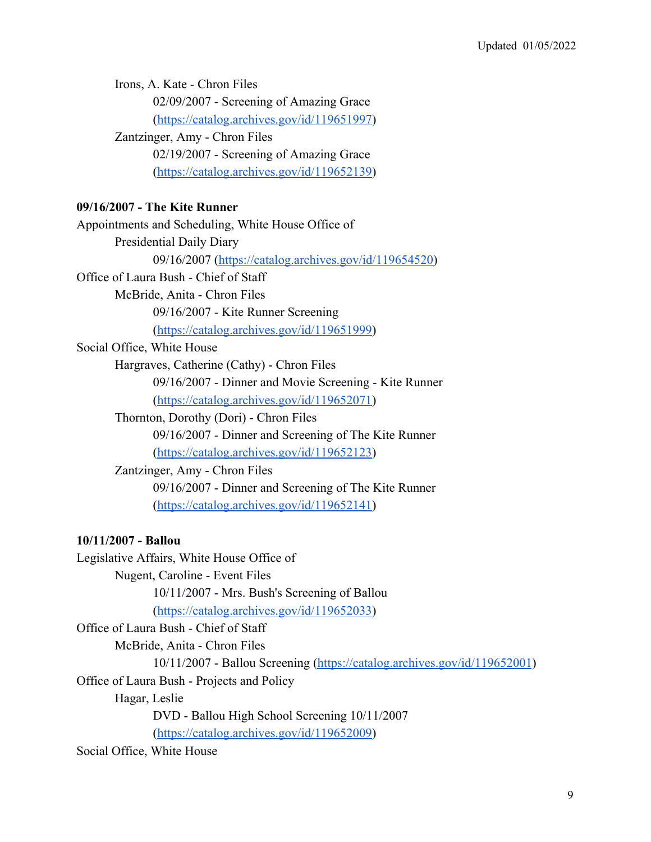Irons, A. Kate - Chron Files 02/09/2007 - Screening of Amazing Grace ([https://catalog.archives.gov/id/119651997\)](https://catalog.archives.gov/id/119651997) Zantzinger, Amy - Chron Files 02/19/2007 - Screening of Amazing Grace ([https://catalog.archives.gov/id/119652139\)](https://catalog.archives.gov/id/119652139)

#### **09/16/2007 - The Kite Runner**

Appointments and Scheduling, White House Office of Presidential Daily Diary 09/16/2007 ([https://catalog.archives.gov/id/119654520\)](https://catalog.archives.gov/id/119654520) Office of Laura Bush - Chief of Staff McBride, Anita - Chron Files 09/16/2007 - Kite Runner Screening ([https://catalog.archives.gov/id/119651999\)](https://catalog.archives.gov/id/119651999) Social Office, White House Hargraves, Catherine (Cathy) - Chron Files 09/16/2007 - Dinner and Movie Screening - Kite Runner ([https://catalog.archives.gov/id/119652071\)](https://catalog.archives.gov/id/119652071) Thornton, Dorothy (Dori) - Chron Files 09/16/2007 - Dinner and Screening of The Kite Runner ([https://catalog.archives.gov/id/119652123\)](https://catalog.archives.gov/id/119652123) Zantzinger, Amy - Chron Files 09/16/2007 - Dinner and Screening of The Kite Runner ([https://catalog.archives.gov/id/119652141\)](https://catalog.archives.gov/id/119652141) **10/11/2007 - Ballou**

Legislative Affairs, White House Office of Nugent, Caroline - Event Files 10/11/2007 - Mrs. Bush's Screening of Ballou ([https://catalog.archives.gov/id/119652033\)](https://catalog.archives.gov/id/119652033) Office of Laura Bush - Chief of Staff McBride, Anita - Chron Files 10/11/2007 - Ballou Screening [\(https://catalog.archives.gov/id/119652001](https://catalog.archives.gov/id/119652001)) Office of Laura Bush - Projects and Policy Hagar, Leslie DVD - Ballou High School Screening 10/11/2007 ([https://catalog.archives.gov/id/119652009\)](https://catalog.archives.gov/id/119652009)

Social Office, White House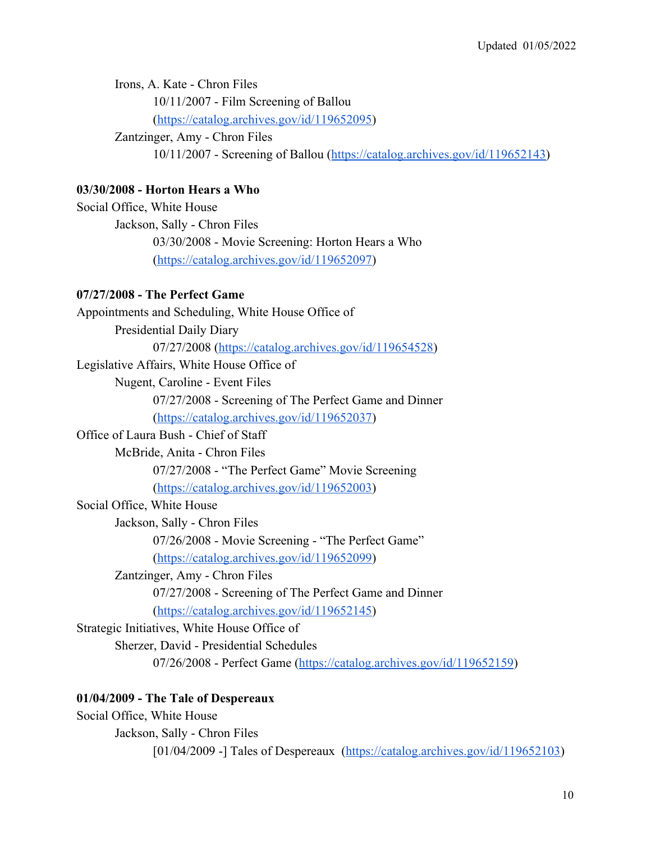Irons, A. Kate - Chron Files 10/11/2007 - Film Screening of Ballou ([https://catalog.archives.gov/id/119652095\)](https://catalog.archives.gov/id/119652095) Zantzinger, Amy - Chron Files

10/11/2007 - Screening of Ballou ([https://catalog.archives.gov/id/119652143\)](https://catalog.archives.gov/id/119652143)

#### **03/30/2008 - Horton Hears a Who**

Social Office, White House Jackson, Sally - Chron Files 03/30/2008 - Movie Screening: Horton Hears a Who ([https://catalog.archives.gov/id/119652097\)](https://catalog.archives.gov/id/119652097)

#### **07/27/2008 - The Perfect Game**

Appointments and Scheduling, White House Office of Presidential Daily Diary 07/27/2008 ([https://catalog.archives.gov/id/119654528\)](https://catalog.archives.gov/id/119654528) Legislative Affairs, White House Office of Nugent, Caroline - Event Files 07/27/2008 - Screening of The Perfect Game and Dinner ([https://catalog.archives.gov/id/119652037\)](https://catalog.archives.gov/id/119652037) Office of Laura Bush - Chief of Staff McBride, Anita - Chron Files 07/27/2008 - "The Perfect Game" Movie Screening ([https://catalog.archives.gov/id/119652003\)](https://catalog.archives.gov/id/119652003) Social Office, White House Jackson, Sally - Chron Files 07/26/2008 - Movie Screening - "The Perfect Game" ([https://catalog.archives.gov/id/119652099\)](https://catalog.archives.gov/id/119652099) Zantzinger, Amy - Chron Files 07/27/2008 - Screening of The Perfect Game and Dinner ([https://catalog.archives.gov/id/119652145\)](https://catalog.archives.gov/id/119652145) Strategic Initiatives, White House Office of Sherzer, David - Presidential Schedules 07/26/2008 - Perfect Game [\(https://catalog.archives.gov/id/119652159](https://catalog.archives.gov/id/119652159))

## **01/04/2009 - The Tale of Despereaux**

Social Office, White House Jackson, Sally - Chron Files [01/04/2009 -] Tales of Despereaux (<https://catalog.archives.gov/id/119652103>)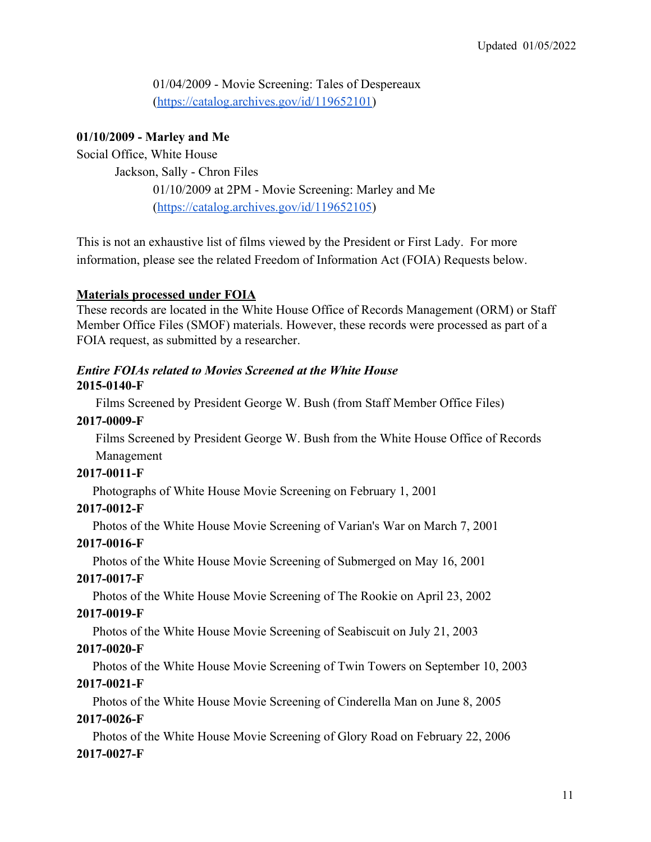01/04/2009 - Movie Screening: Tales of Despereaux ([https://catalog.archives.gov/id/119652101\)](https://catalog.archives.gov/id/119652101)

#### **01/10/2009 - Marley and Me**

Social Office, White House

Jackson, Sally - Chron Files

01/10/2009 at 2PM - Movie Screening: Marley and Me ([https://catalog.archives.gov/id/119652105\)](https://catalog.archives.gov/id/119652105)

This is not an exhaustive list of films viewed by the President or First Lady. For more information, please see the related Freedom of Information Act (FOIA) Requests below.

#### **Materials processed under FOIA**

These records are located in the White House Office of Records Management (ORM) or Staff Member Office Files (SMOF) materials. However, these records were processed as part of a FOIA request, as submitted by a researcher.

#### *Entire FOIAs related to Movies Screened at the White House* **2015-0140-F**

Films Screened by President George W. Bush (from Staff Member Office Files)

## **2017-0009-F**

 Films Screened by President George W. Bush from the White House Office of Records Management

# **2017-0011-F**

Photographs of White House Movie Screening on February 1, 2001

#### **2017-0012-F**

Photos of the White House Movie Screening of Varian's War on March 7, 2001

# **2017-0016-F**

Photos of the White House Movie Screening of Submerged on May 16, 2001

# **2017-0017-F**

Photos of the White House Movie Screening of The Rookie on April 23, 2002

# **2017-0019-F**

Photos of the White House Movie Screening of Seabiscuit on July 21, 2003

# **2017-0020-F**

Photos of the White House Movie Screening of Twin Towers on September 10, 2003

# **2017-0021-F**

Photos of the White House Movie Screening of Cinderella Man on June 8, 2005

# **2017-0026-F**

Photos of the White House Movie Screening of Glory Road on February 22, 2006

# **2017-0027-F**